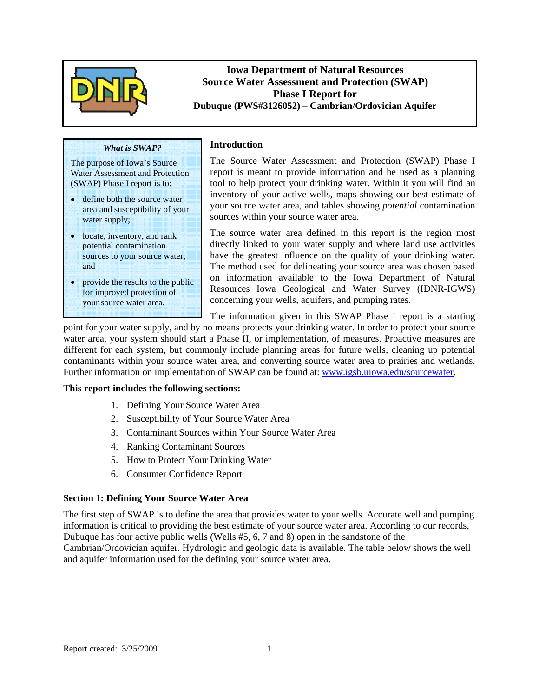

**Iowa Department of Natural Resources Source Water Assessment and Protection (SWAP) Phase I Report for Dubuque (PWS#3126052) – Cambrian/Ordovician Aquifer** 

#### *What is SWAP?*

The purpose of Iowa's Source Water Assessment and Protection (SWAP) Phase I report is to:

- define both the source water area and susceptibility of your water supply;
- locate, inventory, and rank potential contamination sources to your source water; and
- provide the results to the public for improved protection of your source water area.

The Source Water Assessment and Protection (SWAP) Phase I report is meant to provide information and be used as a planning tool to help protect your drinking water. Within it you will find an inventory of your active wells, maps showing our best estimate of your source water area, and tables showing *potential* contamination sources within your source water area.

The source water area defined in this report is the region most directly linked to your water supply and where land use activities have the greatest influence on the quality of your drinking water. The method used for delineating your source area was chosen based on information available to the Iowa Department of Natural Resources Iowa Geological and Water Survey (IDNR-IGWS) concerning your wells, aquifers, and pumping rates.

The information given in this SWAP Phase I report is a starting

point for your water supply, and by no means protects your drinking water. In order to protect your source water area, your system should start a Phase II, or implementation, of measures. Proactive measures are different for each system, but commonly include planning areas for future wells, cleaning up potential contaminants within your source water area, and converting source water area to prairies and wetlands. Further information on implementation of SWAP can be found at: www.igsb.uiowa.edu/sourcewater.

#### **This report includes the following sections:**

- 1. Defining Your Source Water Area
- 2. Susceptibility of Your Source Water Area
- 3. Contaminant Sources within Your Source Water Area

**Introduction** 

- 4. Ranking Contaminant Sources
- 5. How to Protect Your Drinking Water
- 6. Consumer Confidence Report

#### **Section 1: Defining Your Source Water Area**

The first step of SWAP is to define the area that provides water to your wells. Accurate well and pumping information is critical to providing the best estimate of your source water area. According to our records, Dubuque has four active public wells (Wells #5, 6, 7 and 8) open in the sandstone of the Cambrian/Ordovician aquifer. Hydrologic and geologic data is available. The table below shows the well and aquifer information used for the defining your source water area.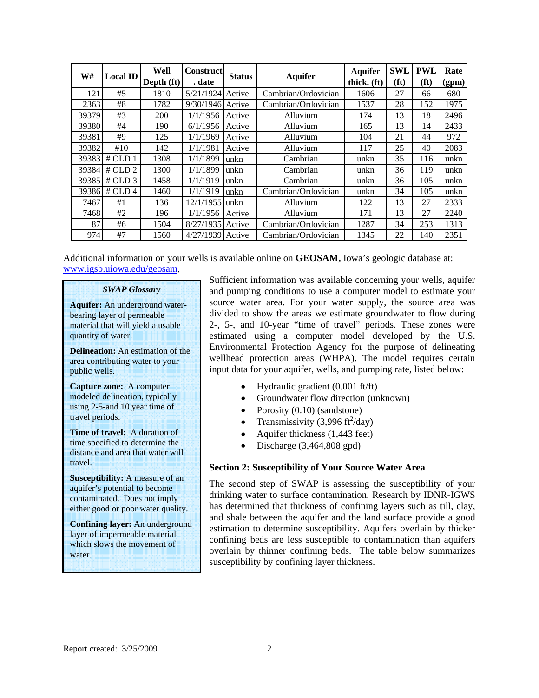| W#    | <b>Local ID</b> | Well<br>Depth (ft) | <b>Construct</b><br>. date | <b>Status</b> | <b>Aquifer</b>      | <b>Aquifer</b><br>thick. (ft) | SWL<br>(f t) | <b>PWL</b><br>(ft) | Rate<br>(gpm) |
|-------|-----------------|--------------------|----------------------------|---------------|---------------------|-------------------------------|--------------|--------------------|---------------|
| 121   | #5              | 1810               | 5/21/1924                  | Active        | Cambrian/Ordovician | 1606                          | 27           | 66                 | 680           |
| 2363  | #8              | 1782               | 9/30/1946                  | Active        | Cambrian/Ordovician | 1537                          | 28           | 152                | 1975          |
| 39379 | #3              | 200                | 1/1/1956                   | Active        | Alluvium            | 174                           | 13           | 18                 | 2496          |
| 39380 | #4              | 190                | 6/1/1956                   | Active        | Alluvium            | 165                           | 13           | 14                 | 2433          |
| 39381 | #9              | 125                | 1/1/1969                   | Active        | Alluvium            |                               | 21           | 44                 | 972           |
| 39382 | #10             | 142                | 1/1/1981                   | Active        | Alluvium            |                               | 25           | 40                 | 2083          |
| 39383 | # OLD 1         | 1308               | 1/1/1899                   | unkn          | Cambrian            |                               | 35           | 116                | unkn          |
| 39384 | # OLD 2         | 1300               | 1/1/1899                   | unkn          | Cambrian            | unkn                          | 36           | 119                | unkn          |
| 39385 | # OLD 3         | 1458               | 1/1/1919                   | unkn          | Cambrian            | unkn                          | 36           | 105                | unkn          |
| 39386 | # OLD 4         | 1460               | 1/1/1919                   | unkn          | Cambrian/Ordovician | unkn                          | 34           | 105                | unkn          |
| 7467  | #1              | 136                | $12/1/1955$ unkn           |               | Alluvium            | 122                           | 13           | 27                 | 2333          |
| 7468  | #2              | 196                | 1/1/1956                   | Active        | Alluvium            |                               | 13           | 27                 | 2240          |
| 87    | #6              | 1504               | 8/27/1935                  | Active        | Cambrian/Ordovician | 1287                          | 34           | 253                | 1313          |
| 974   | #7              | 1560               | 4/27/1939                  | Active        | Cambrian/Ordovician | 1345                          | 22           | 140                | 2351          |

Additional information on your wells is available online on **GEOSAM,** Iowa's geologic database at: www.igsb.uiowa.edu/geosam.

#### *SWAP Glossary*

**Aquifer:** An underground waterbearing layer of permeable material that will yield a usable quantity of water.

**Delineation:** An estimation of the area contributing water to your public wells.

**Capture zone:** A computer modeled delineation, typically using 2-5-and 10 year time of travel periods.

**Time of travel:** A duration of time specified to determine the distance and area that water will travel.

**Susceptibility:** A measure of an aquifer's potential to become contaminated. Does not imply either good or poor water quality.

**Confining layer:** An underground layer of impermeable material which slows the movement of water.

Sufficient information was available concerning your wells, aquifer and pumping conditions to use a computer model to estimate your source water area. For your water supply, the source area was divided to show the areas we estimate groundwater to flow during 2-, 5-, and 10-year "time of travel" periods. These zones were estimated using a computer model developed by the U.S. Environmental Protection Agency for the purpose of delineating wellhead protection areas (WHPA). The model requires certain input data for your aquifer, wells, and pumping rate, listed below:

- Hydraulic gradient (0.001 ft/ft)
- Groundwater flow direction (unknown)
- Porosity (0.10) (sandstone)
- Transmissivity (3,996 ft<sup>2</sup>/day)
- Aquifer thickness (1,443 feet)
- $\bullet$  Discharge (3,464,808 gpd)

#### **Section 2: Susceptibility of Your Source Water Area**

The second step of SWAP is assessing the susceptibility of your drinking water to surface contamination. Research by IDNR-IGWS has determined that thickness of confining layers such as till, clay, and shale between the aquifer and the land surface provide a good estimation to determine susceptibility. Aquifers overlain by thicker confining beds are less susceptible to contamination than aquifers overlain by thinner confining beds. The table below summarizes susceptibility by confining layer thickness.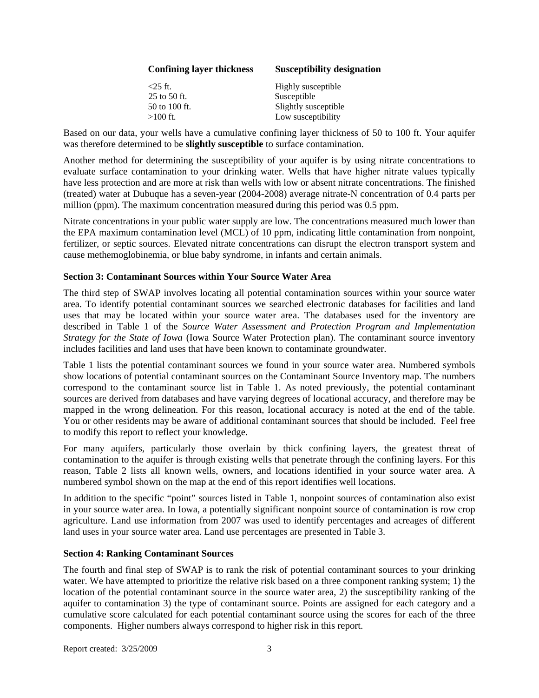| <b>Confining layer thickness</b> | <b>Susceptibility designation</b> |
|----------------------------------|-----------------------------------|
| $<$ 25 ft.                       | Highly susceptible                |
| 25 to 50 ft.                     | Susceptible                       |
| 50 to 100 ft.                    | Slightly susceptible              |
| $>100$ ft.                       | Low susceptibility                |

Based on our data, your wells have a cumulative confining layer thickness of 50 to 100 ft. Your aquifer was therefore determined to be **slightly susceptible** to surface contamination.

Another method for determining the susceptibility of your aquifer is by using nitrate concentrations to evaluate surface contamination to your drinking water. Wells that have higher nitrate values typically have less protection and are more at risk than wells with low or absent nitrate concentrations. The finished (treated) water at Dubuque has a seven-year (2004-2008) average nitrate-N concentration of 0.4 parts per million (ppm). The maximum concentration measured during this period was 0.5 ppm.

Nitrate concentrations in your public water supply are low. The concentrations measured much lower than the EPA maximum contamination level (MCL) of 10 ppm, indicating little contamination from nonpoint, fertilizer, or septic sources. Elevated nitrate concentrations can disrupt the electron transport system and cause methemoglobinemia, or blue baby syndrome, in infants and certain animals.

#### **Section 3: Contaminant Sources within Your Source Water Area**

The third step of SWAP involves locating all potential contamination sources within your source water area. To identify potential contaminant sources we searched electronic databases for facilities and land uses that may be located within your source water area. The databases used for the inventory are described in Table 1 of the *Source Water Assessment and Protection Program and Implementation Strategy for the State of Iowa* (Iowa Source Water Protection plan). The contaminant source inventory includes facilities and land uses that have been known to contaminate groundwater.

Table 1 lists the potential contaminant sources we found in your source water area. Numbered symbols show locations of potential contaminant sources on the Contaminant Source Inventory map. The numbers correspond to the contaminant source list in Table 1. As noted previously, the potential contaminant sources are derived from databases and have varying degrees of locational accuracy, and therefore may be mapped in the wrong delineation. For this reason, locational accuracy is noted at the end of the table. You or other residents may be aware of additional contaminant sources that should be included. Feel free to modify this report to reflect your knowledge.

For many aquifers, particularly those overlain by thick confining layers, the greatest threat of contamination to the aquifer is through existing wells that penetrate through the confining layers. For this reason, Table 2 lists all known wells, owners, and locations identified in your source water area. A numbered symbol shown on the map at the end of this report identifies well locations.

In addition to the specific "point" sources listed in Table 1, nonpoint sources of contamination also exist in your source water area. In Iowa, a potentially significant nonpoint source of contamination is row crop agriculture. Land use information from 2007 was used to identify percentages and acreages of different land uses in your source water area. Land use percentages are presented in Table 3.

#### **Section 4: Ranking Contaminant Sources**

The fourth and final step of SWAP is to rank the risk of potential contaminant sources to your drinking water. We have attempted to prioritize the relative risk based on a three component ranking system; 1) the location of the potential contaminant source in the source water area, 2) the susceptibility ranking of the aquifer to contamination 3) the type of contaminant source. Points are assigned for each category and a cumulative score calculated for each potential contaminant source using the scores for each of the three components. Higher numbers always correspond to higher risk in this report.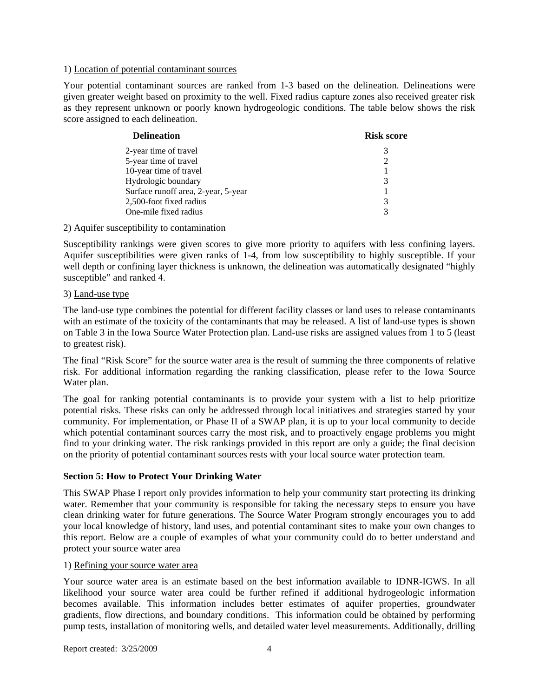#### 1) Location of potential contaminant sources

Your potential contaminant sources are ranked from 1-3 based on the delineation. Delineations were given greater weight based on proximity to the well. Fixed radius capture zones also received greater risk as they represent unknown or poorly known hydrogeologic conditions. The table below shows the risk score assigned to each delineation.

| <b>Delineation</b>                  | <b>Risk score</b> |
|-------------------------------------|-------------------|
| 2-year time of travel               | 3                 |
| 5-year time of travel               |                   |
| 10-year time of travel              |                   |
| Hydrologic boundary                 | 3                 |
| Surface runoff area, 2-year, 5-year |                   |
| 2,500-foot fixed radius             | 3                 |
| One-mile fixed radius               | 3                 |
|                                     |                   |

#### 2) Aquifer susceptibility to contamination

Susceptibility rankings were given scores to give more priority to aquifers with less confining layers. Aquifer susceptibilities were given ranks of 1-4, from low susceptibility to highly susceptible. If your well depth or confining layer thickness is unknown, the delineation was automatically designated "highly susceptible" and ranked 4.

#### 3) Land-use type

The land-use type combines the potential for different facility classes or land uses to release contaminants with an estimate of the toxicity of the contaminants that may be released. A list of land-use types is shown on Table 3 in the Iowa Source Water Protection plan. Land-use risks are assigned values from 1 to 5 (least to greatest risk).

The final "Risk Score" for the source water area is the result of summing the three components of relative risk. For additional information regarding the ranking classification, please refer to the Iowa Source Water plan.

The goal for ranking potential contaminants is to provide your system with a list to help prioritize potential risks. These risks can only be addressed through local initiatives and strategies started by your community. For implementation, or Phase II of a SWAP plan, it is up to your local community to decide which potential contaminant sources carry the most risk, and to proactively engage problems you might find to your drinking water. The risk rankings provided in this report are only a guide; the final decision on the priority of potential contaminant sources rests with your local source water protection team.

#### **Section 5: How to Protect Your Drinking Water**

This SWAP Phase I report only provides information to help your community start protecting its drinking water. Remember that your community is responsible for taking the necessary steps to ensure you have clean drinking water for future generations. The Source Water Program strongly encourages you to add your local knowledge of history, land uses, and potential contaminant sites to make your own changes to this report. Below are a couple of examples of what your community could do to better understand and protect your source water area

#### 1) Refining your source water area

Your source water area is an estimate based on the best information available to IDNR-IGWS. In all likelihood your source water area could be further refined if additional hydrogeologic information becomes available. This information includes better estimates of aquifer properties, groundwater gradients, flow directions, and boundary conditions. This information could be obtained by performing pump tests, installation of monitoring wells, and detailed water level measurements. Additionally, drilling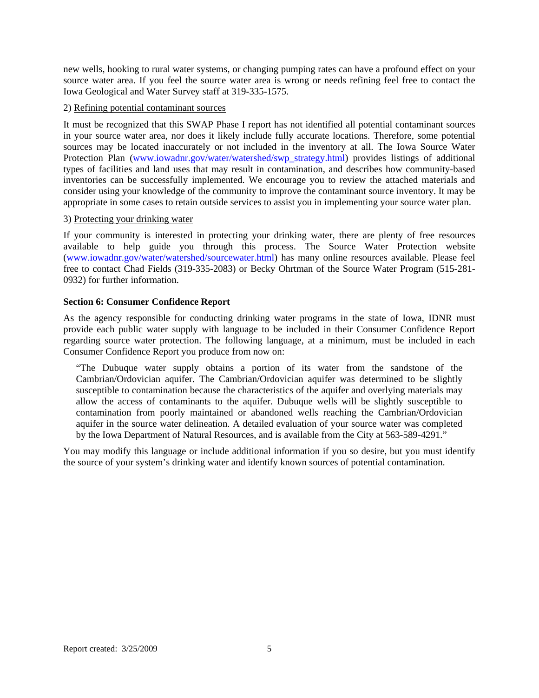new wells, hooking to rural water systems, or changing pumping rates can have a profound effect on your source water area. If you feel the source water area is wrong or needs refining feel free to contact the Iowa Geological and Water Survey staff at 319-335-1575.

#### 2) Refining potential contaminant sources

It must be recognized that this SWAP Phase I report has not identified all potential contaminant sources in your source water area, nor does it likely include fully accurate locations. Therefore, some potential sources may be located inaccurately or not included in the inventory at all. The Iowa Source Water Protection Plan (www.iowadnr.gov/water/watershed/swp\_strategy.html) provides listings of additional types of facilities and land uses that may result in contamination, and describes how community-based inventories can be successfully implemented. We encourage you to review the attached materials and consider using your knowledge of the community to improve the contaminant source inventory. It may be appropriate in some cases to retain outside services to assist you in implementing your source water plan.

#### 3) Protecting your drinking water

If your community is interested in protecting your drinking water, there are plenty of free resources available to help guide you through this process. The Source Water Protection website (www.iowadnr.gov/water/watershed/sourcewater.html) has many online resources available. Please feel free to contact Chad Fields (319-335-2083) or Becky Ohrtman of the Source Water Program (515-281- 0932) for further information.

#### **Section 6: Consumer Confidence Report**

As the agency responsible for conducting drinking water programs in the state of Iowa, IDNR must provide each public water supply with language to be included in their Consumer Confidence Report regarding source water protection. The following language, at a minimum, must be included in each Consumer Confidence Report you produce from now on:

"The Dubuque water supply obtains a portion of its water from the sandstone of the Cambrian/Ordovician aquifer. The Cambrian/Ordovician aquifer was determined to be slightly susceptible to contamination because the characteristics of the aquifer and overlying materials may allow the access of contaminants to the aquifer. Dubuque wells will be slightly susceptible to contamination from poorly maintained or abandoned wells reaching the Cambrian/Ordovician aquifer in the source water delineation. A detailed evaluation of your source water was completed by the Iowa Department of Natural Resources, and is available from the City at 563-589-4291."

You may modify this language or include additional information if you so desire, but you must identify the source of your system's drinking water and identify known sources of potential contamination.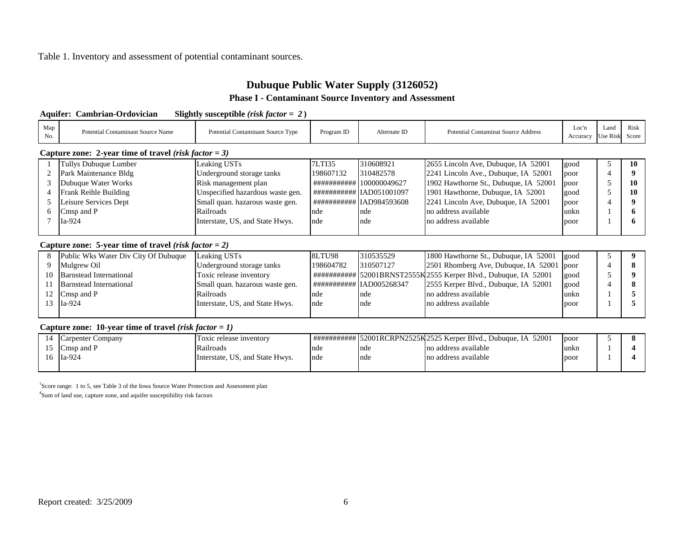#### Table 1. Inventory and assessment of potential contaminant sources.

## **Dubuque Public Water Supply (3126052) Phase I - Contaminant Source Inventory and Assessment**

**Aquifer: Cambrian-Ordovician Slightly susceptible** *(risk factor = 2* **)**

| Map<br>No.     | <b>Potential Contaminant Source Name</b>                       | Potential Contaminant Source Type | Program ID    | Alternate ID              | <b>Potential Contaminat Source Address</b>                        | Loc'n<br>Accuracy | Land<br><b>Use Risk</b> | Risk<br>Score |  |
|----------------|----------------------------------------------------------------|-----------------------------------|---------------|---------------------------|-------------------------------------------------------------------|-------------------|-------------------------|---------------|--|
|                | Capture zone: 2-year time of travel ( <i>risk factor</i> = 3)  |                                   |               |                           |                                                                   |                   |                         |               |  |
|                | Tullys Dubuque Lumber                                          | Leaking USTs                      | 7LTI35        | 310608921                 | 2655 Lincoln Ave, Dubuque, IA 52001                               | good              | 5                       | 10            |  |
| $\overline{2}$ | Park Maintenance Bldg                                          | Underground storage tanks         | 198607132     | 310482578                 | 2241 Lincoln Ave., Dubuque, IA 52001                              | poor              | $\overline{4}$          |               |  |
| 3              | Dubuque Water Works                                            | Risk management plan              |               | ############ 100000049627 | 1902 Hawthorne St., Dubuque, IA 52001                             | poor              | 5                       | 10            |  |
| $\overline{4}$ | Frank Reihle Building                                          | Unspecified hazardous waste gen.  |               | ########### IAD051001097  | 1901 Hawthorne, Dubuque, IA 52001                                 | good              | 5                       | 10            |  |
| 5              | Leisure Services Dept                                          | Small quan. hazarous waste gen.   |               | ########### IAD984593608  | 2241 Lincoln Ave, Dubuque, IA 52001                               | poor              | 4                       |               |  |
| 6              | Cmsp and P                                                     | Railroads                         | nde           | nde                       | no address available                                              | unkn              |                         |               |  |
|                | Ia-924                                                         | Interstate, US, and State Hwys.   | nde           | nde                       | no address available                                              | poor              |                         |               |  |
|                |                                                                |                                   |               |                           |                                                                   |                   |                         |               |  |
|                | Capture zone: 5-year time of travel (risk factor = 2)          |                                   |               |                           |                                                                   |                   |                         |               |  |
| 8              | Public Wks Water Div City Of Dubuque                           | Leaking USTs                      | <b>8LTU98</b> | 310535529                 | 1800 Hawthorne St., Dubuque, IA 52001                             | good              | 5                       |               |  |
| 9              | Mulgrew Oil                                                    | Underground storage tanks         | 198604782     | 310507127                 | 2501 Rhomberg Ave, Dubuque, IA 52001                              | poor              | $\overline{4}$          |               |  |
| 10             | <b>Barnstead International</b>                                 | Toxic release inventory           |               |                           | ############ 52001BRNST2555K 2555 Kerper Blvd., Dubuque, IA 52001 | good              | 5                       |               |  |
| 11             | Barnstead International                                        | Small quan. hazarous waste gen.   |               | ########### IAD005268347  | 2555 Kerper Blvd., Dubuque, IA 52001                              | good              | 4                       |               |  |
| 12             | Cmsp and P                                                     | Railroads                         | nde           | nde                       | no address available                                              | unkn              |                         |               |  |
| 13             | Ia-924                                                         | Interstate, US, and State Hwys.   | nde           | nde                       | no address available                                              | poor              |                         |               |  |
|                |                                                                |                                   |               |                           |                                                                   |                   |                         |               |  |
|                | Capture zone: 10-year time of travel ( <i>risk factor</i> = 1) |                                   |               |                           |                                                                   |                   |                         |               |  |
| 14             | <b>Carpenter Company</b>                                       | Toxic release inventory           |               |                           | ########### 52001RCRPN2525K 2525 Kerper Blvd., Dubuque, IA 52001  | poor              | 5                       |               |  |
| 15             | Cmsp and P                                                     | Railroads                         | nde           | nde                       | no address available                                              | unkn              |                         |               |  |
| 16             | Ia-924                                                         | Interstate, US, and State Hwys.   | nde           | nde                       | no address available                                              | poor              |                         |               |  |
|                |                                                                |                                   |               |                           |                                                                   |                   |                         |               |  |

<sup>1</sup>Score range: 1 to 5, see Table 3 of the Iowa Source Water Protection and Assessment plan

4Sum of land use, capture zone, and aquifer susceptibility risk factors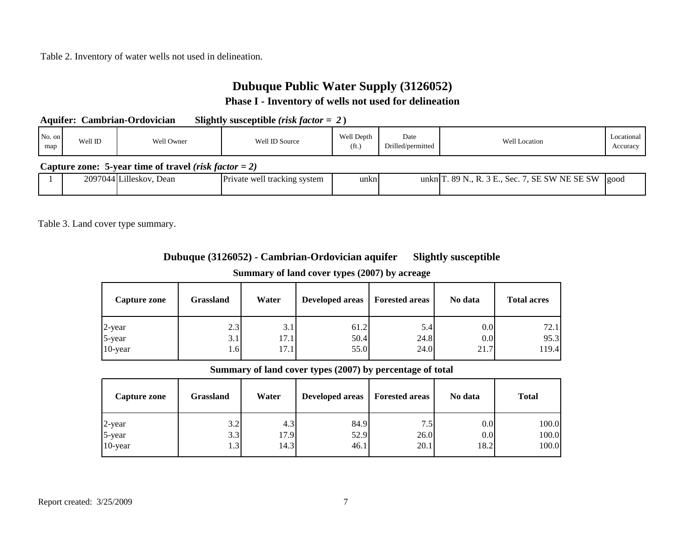Table 2. Inventory of water wells not used in delineation.

# **Dubuque Public Water Supply (3126052)**

### **Phase I - Inventory of wells not used for delineation**

| <b>Aquifer: Cambrian-Ordovician</b> | Slightly susceptible <i>(risk factor = 2)</i> |
|-------------------------------------|-----------------------------------------------|
|-------------------------------------|-----------------------------------------------|

| No. on<br>Well ID<br>map | Well Owner | Well ID Source | Well Depth<br>(f <sub>t</sub> ) | Date<br>Drilled/permitted | <b>Well Location</b> | Locational<br>Accuracy |
|--------------------------|------------|----------------|---------------------------------|---------------------------|----------------------|------------------------|
|--------------------------|------------|----------------|---------------------------------|---------------------------|----------------------|------------------------|

#### **Capture zone: 5-year time of travel** *(risk factor = 2)*

|  | 2097044IL | .illes<br>Dean<br>eskov<br>$\cdots$ | $\mathbf{\mathbf{\mathbf{\mathbf{\mathbf{\mathbf{\mathbf{\mathbf{\mathbf{}}}}}}}}$<br>Private well<br>system<br>tracking | unkn | unkr.<br>`nı ∶ | 'SW<br>$\sim$ $\sim$<br>$\mathbf{r}$<br>SW.<br><b>SF</b><br>xч<br>NF<br>◡<br>sec<br>SЕ<br>$\overline{\mathbf{v}}$ | <u>l</u> good |
|--|-----------|-------------------------------------|--------------------------------------------------------------------------------------------------------------------------|------|----------------|-------------------------------------------------------------------------------------------------------------------|---------------|
|  |           |                                     |                                                                                                                          |      |                |                                                                                                                   |               |

Table 3. Land cover type summary.

# **Dubuque (3126052) - Cambrian-Ordovician aquifer Slightly susceptible**

## **Summary of land cover types (2007) by acreage**

| Capture zone | Grassland | Water | <b>Developed areas</b> | <b>Forested areas</b> | No data | <b>Total acres</b> |
|--------------|-----------|-------|------------------------|-----------------------|---------|--------------------|
| 2-year       | 2.3       | 3.1   | 61.2                   | 5.4                   | 0.0     | 72.1               |
| 5-year       | 3.1       | 17.1  | 50.4                   | 24.8                  | 0.0     | 95.3               |
| 10-year      | 1.6       | 17.1  | 55.0                   | 24.0                  | 21.7    | 119.4              |

#### **Summary of land cover types (2007) by percentage of total**

| Capture zone | Grassland        | Water | <b>Developed areas</b> | <b>Forested areas</b> | No data | <b>Total</b> |
|--------------|------------------|-------|------------------------|-----------------------|---------|--------------|
| $2$ -year    | 3.2              | 4.3   | 84.9                   | 7.5                   | 0.0     | 100.0        |
| 5-year       | 3.3              | 17.9  | 52.9                   | 26.0                  | 0.0     | 100.0        |
| 10-year      | 1.3 <sup>1</sup> | 14.3  | 46.1                   | 20.1                  | 18.2    | 100.0        |